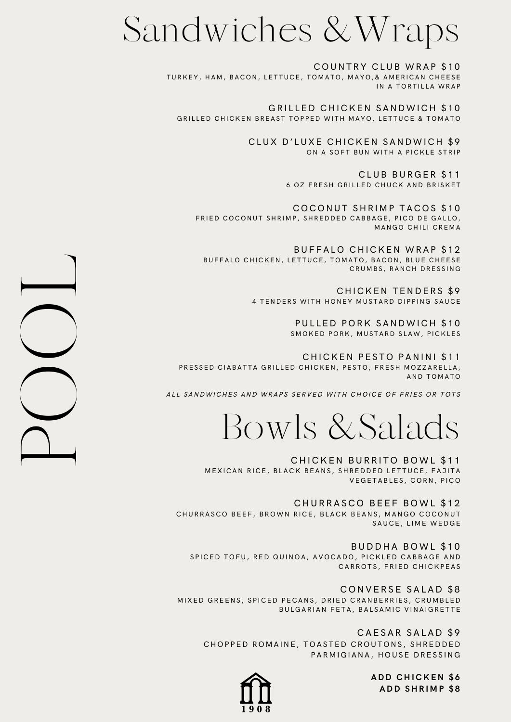## Sandwiches & Wraps

COUNTRY CLUB WRAP \$10 TURKEY, HAM, BACON, LETTUCE, TOMATO, MAYO, & AMERICAN CHEESE IN A TORTILLA WRAP

GRILLED CHICKEN SANDWICH \$10 GRILLED CHICKEN BREAST TOPPED WITH MAYO, LETTUCE & TOMATO

> CLUX D'LUXE CHICKEN SANDWICH \$9 ON A SOFT BUN WITH A PICKLE STRIP

> > CLUB BURGER \$11 6 OZ FRESH GRILLED CHUCK AND BRISKET

COCONUT SHRIMP TACOS \$10 FRIED COCONUT SHRIMP, SHREDDED CABBAGE, PICO DE GALLO, MANGO CHILI CREMA

BUFFALO CHICKEN WRAP \$12 BUFFALO CHICKEN, LETTUCE, TOMATO, BACON, BLUE CHEESE CRUMBS, RANCH DRESSING

> CHICKEN TENDERS \$9 4 TENDERS WITH HONEY MUSTARD DIPPING SAUCE

> > PULLED PORK SANDWICH \$10 SMOKED PORK, MUSTARD SLAW, PICKLES

CHICKEN PESTO PANINI \$11 PRESSED CIABATTA GRILLED CHICKEN, PESTO, FRESH MOZZARELLA, AND TOMATO

ALL SANDWICHES AND WRAPS SERVED WITH CHOICE OF FRIES OR TOTS

Bowls & Salads

CHICKEN BURRITO BOWL \$11 MEXICAN RICE, BLACK BEANS, SHREDDED LETTUCE, FAJITA VEGETABLES, CORN, PICO

CHURRASCO BEEF BOWL \$12 CHURRASCO BEEF, BROWN RICE, BLACK BEANS, MANGO COCONUT SAUCE, LIME WEDGE

BUDDHA BOWL \$10 SPICED TOFU, RED QUINOA, AVOCADO, PICKLED CABBAGE AND CARROTS, FRIED CHICKPEAS

CONVERSE SALAD \$8 MIXED GREENS, SPICED PECANS, DRIED CRANBERRIES, CRUMBLED BULGARIAN FETA, BALSAMIC VINAIGRETTE

CAESAR SALAD \$9 CHOPPED ROMAINE, TOASTED CROUTONS, SHREDDED PARMIGIANA, HOUSE DRESSING



 $\Box$ OOL